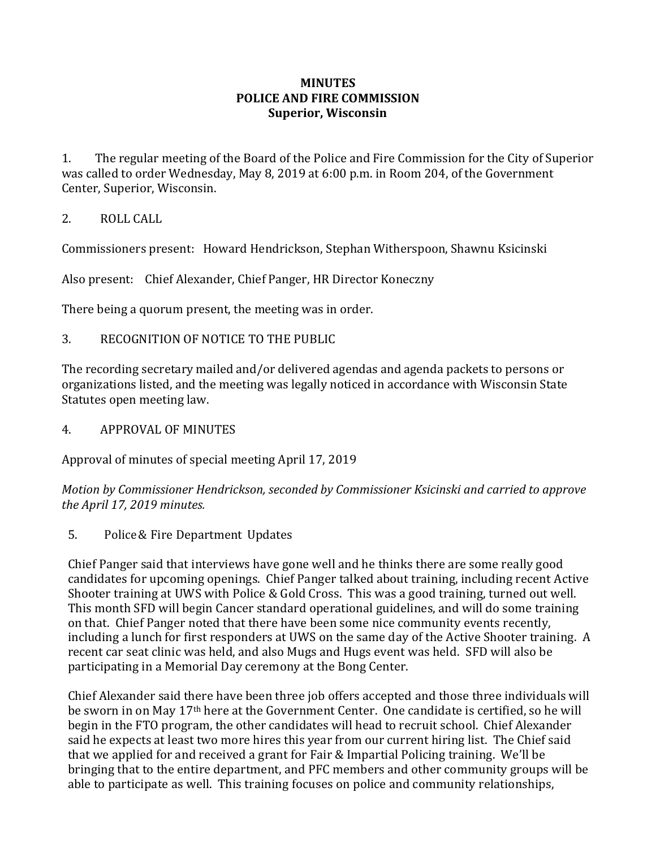## **MINUTES POLICE AND FIRE COMMISSION Superior, Wisconsin**

1. The regular meeting of the Board of the Police and Fire Commission for the City of Superior was called to order Wednesday, May 8, 2019 at 6:00 p.m. in Room 204, of the Government Center, Superior, Wisconsin.

## 2. ROLL CALL

Commissioners present: Howard Hendrickson, Stephan Witherspoon, Shawnu Ksicinski

Also present: Chief Alexander, Chief Panger, HR Director Koneczny

There being a quorum present, the meeting was in order.

3. RECOGNITION OF NOTICE TO THE PUBLIC

The recording secretary mailed and/or delivered agendas and agenda packets to persons or organizations listed, and the meeting was legally noticed in accordance with Wisconsin State Statutes open meeting law.

4. APPROVAL OF MINUTES

Approval of minutes of special meeting April 17, 2019

*Motion by Commissioner Hendrickson, seconded by Commissioner Ksicinski and carried to approve the April 17, 2019 minutes.*

5. Police& Fire Department Updates

Chief Panger said that interviews have gone well and he thinks there are some really good candidates for upcoming openings. Chief Panger talked about training, including recent Active Shooter training at UWS with Police & Gold Cross. This was a good training, turned out well. This month SFD will begin Cancer standard operational guidelines, and will do some training on that. Chief Panger noted that there have been some nice community events recently, including a lunch for first responders at UWS on the same day of the Active Shooter training. A recent car seat clinic was held, and also Mugs and Hugs event was held. SFD will also be participating in a Memorial Day ceremony at the Bong Center.

Chief Alexander said there have been three job offers accepted and those three individuals will be sworn in on May 17th here at the Government Center. One candidate is certified, so he will begin in the FTO program, the other candidates will head to recruit school. Chief Alexander said he expects at least two more hires this year from our current hiring list. The Chief said that we applied for and received a grant for Fair & Impartial Policing training. We'll be bringing that to the entire department, and PFC members and other community groups will be able to participate as well. This training focuses on police and community relationships,